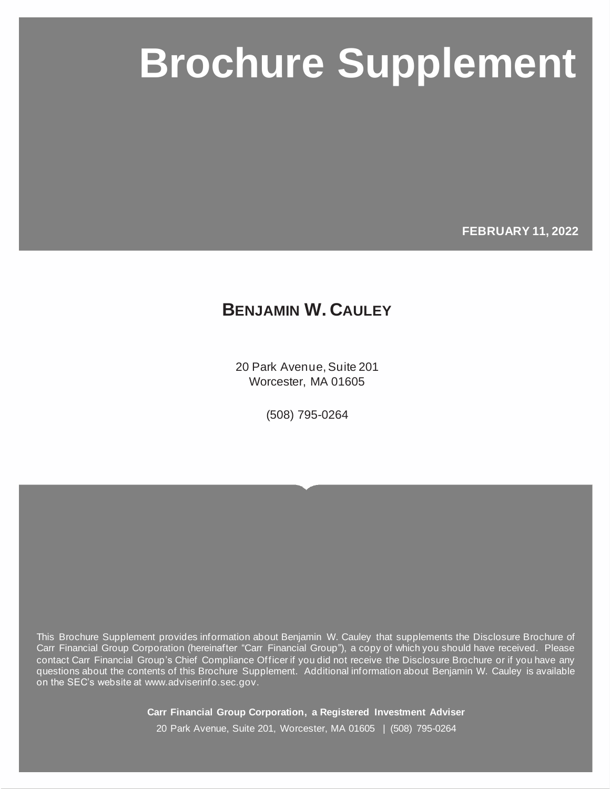# **Carr Financial Group Corporation Brochure Supplement Brochure Supplement**

**FEBRUARY 11, 2022**

## **BENJAMIN W. CAULEY**

20 Park Avenue, Suite 201 Worcester, MA 01605

(508) 795-0264

This Brochure Supplement provides information about Benjamin W. Cauley that supplements the Disclosure Brochure of Carr Financial Group Corporation (hereinafter "Carr Financial Group"), a copy of which you should have received. Please contact Carr Financial Group's Chief Compliance Officer if you did not receive the Disclosure Brochure or if you have any questions about the contents of this Brochure Supplement. Additional information about Benjamin W. Cauley is available on the SEC's website at www.adviserinfo.sec.gov.

**Carr Financial Group Corporation, a Registered Investment Adviser**

20 Park Avenue, Suite 201, Worcester, MA 01605 | (508) 795-0264

Page i © MarketCounsel 2021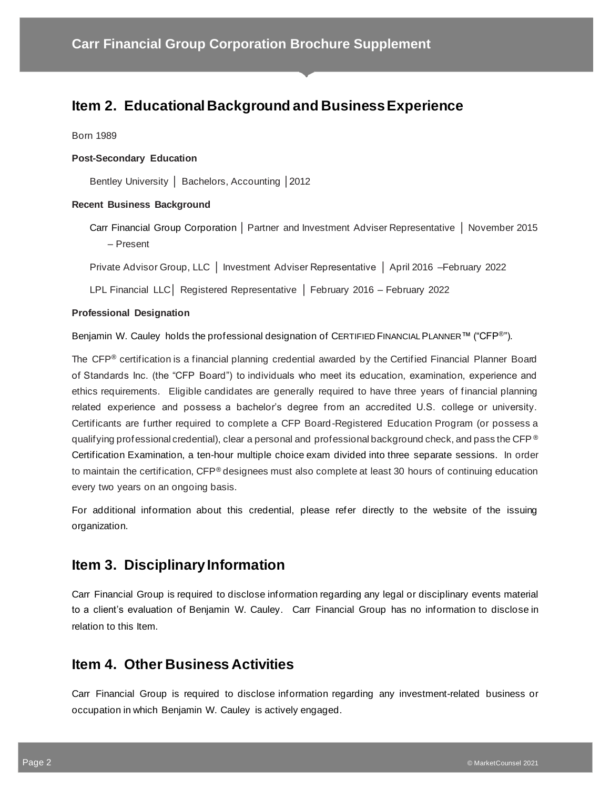## **Item 2. Educational Background and Business Experience**

#### Born 1989

#### **Post-Secondary Education**

Bentley University │ Bachelors, Accounting │2012

#### **Recent Business Background**

Carr Financial Group Corporation │ Partner and Investment Adviser Representative │ November 2015 – Present

Private Advisor Group, LLC │ Investment Adviser Representative │ April 2016 –February 2022

LPL Financial LLC│ Registered Representative │ February 2016 – February 2022

#### **Professional Designation**

Benjamin W. Cauley holds the professional designation of CERTIFIED FINANCIAL PLANNER™ ("CFP®").

The CFP® certification is a financial planning credential awarded by the Certified Financial Planner Board of Standards Inc. (the "CFP Board") to individuals who meet its education, examination, experience and ethics requirements. Eligible candidates are generally required to have three years of financial planning related experience and possess a bachelor's degree from an accredited U.S. college or university. Certificants are further required to complete a CFP Board-Registered Education Program (or possess a qualifying professional credential), clear a personal and professional background check, and pass the CFP  $\degree$ Certification Examination, a ten-hour multiple choice exam divided into three separate sessions. In order to maintain the certification, CFP® designees must also complete at least 30 hours of continuing education every two years on an ongoing basis.

For additional information about this credential, please refer directly to the website of the issuing organization.

## **Item 3. Disciplinary Information**

Carr Financial Group is required to disclose information regarding any legal or disciplinary events material to a client's evaluation of Benjamin W. Cauley. Carr Financial Group has no information to disclose in relation to this Item.

## **Item 4. Other Business Activities**

Carr Financial Group is required to disclose information regarding any investment-related business or occupation in which Benjamin W. Cauley is actively engaged.